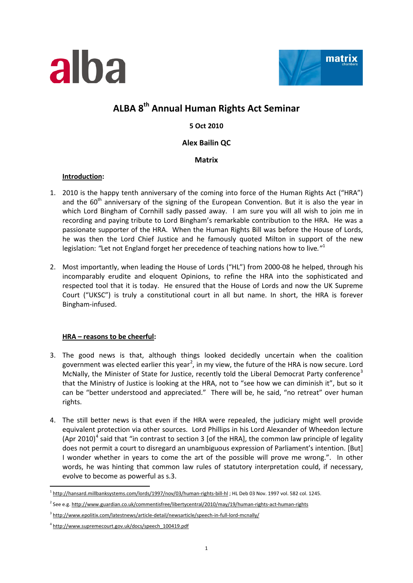



# **ALBA 8th Annual Human Rights Act Seminar**

**5 Oct 2010**

## **Alex Bailin QC**

**Matrix**

### **Introduction :**

- 1. 2010 is the happy tenth anniversary of the coming into force of the Human Rights Act ("HRA") and the  $60<sup>th</sup>$  anniversary of the signing of the European Convention. But it is also the year in which Lord Bingham of Cornhill sadly passed away. I am sure you will all wish to join me in recording and paying tribute to Lord Bingham's remarkable contribution to the HRA. He was a passionate supporter of the HRA. When the Human Rights Bill was before the House of Lords, he was then the Lord Chief Justice and he famously quoted Milton in support of the new legislation: *"*Let not England forget her precedence of teaching nations how to live*."*[1](#page-0-0)
- 2. Most importantly, when leading the House of Lords ("HL") from 2000-08 he helped, through his incomparably erudite and eloquent Opinions, to refine the HRA into the sophisticated and respected tool that it is today. He ensured that the House of Lords and now the UK Supreme Court ("UKSC") is truly a constitutional court in all but name. In short, the HRA is forever Bingham-infused.

# **HRA – reasons to be cheerful:**

- 3. The good news is that, although things looked decidedly uncertain when the coalition government was elected earlier this year<sup>[2](#page-0-1)</sup>, in my view, the future of the HRA is now secure. Lord McNally, the Minister of State for Justice, recently told the Liberal Democrat Party conference<sup>[3](#page-0-2)</sup> that the Ministry of Justice is looking at the HRA, not to "see how we can diminish it", but so it can be "better understood and appreciated." There will be, he said, "no retreat" over human rights.
- 4. The still better news is that even if the HRA were repealed, the judiciary might well provide equivalent protection via other sources. Lord Phillips in his Lord Alexander of Wheedon lecture (Apr 2010)<sup>[4](#page-0-3)</sup> said that "in contrast to section 3 [of the HRA], the common law principle of legality does not permit a court to disregard an unambiguous expression of Parliament's intention. [But] I wonder whether in years to come the art of the possible will prove me wrong.". In other words, he was hinting that common law rules of statutory interpretation could, if necessary, evolve to become as powerful as s.3.

 $\frac{1}{1}$ <sup>1</sup> <http://hansard.millbanksystems.com/lords/1997/nov/03/human-rights-bill-hl> ; HL Deb 03 Nov. 1997 vol. 582 col. 1245.

<span id="page-0-1"></span><span id="page-0-0"></span><sup>2</sup> See e.g[. http://www.guardian.co.uk/commentisfree/libertycentral/2010/may/19/human-rights-act-human-rights](http://www.guardian.co.uk/commentisfree/libertycentral/2010/may/19/human-rights-act-human-rights)

<span id="page-0-2"></span><sup>3</sup> <http://www.epolitix.com/latestnews/article-detail/newsarticle/speech-in-full-lord-mcnally/>

<span id="page-0-3"></span><sup>4</sup> [http://www.supremecourt.gov.uk/docs/speech\\_100419.pdf](http://www.supremecourt.gov.uk/docs/speech_100419.pdf)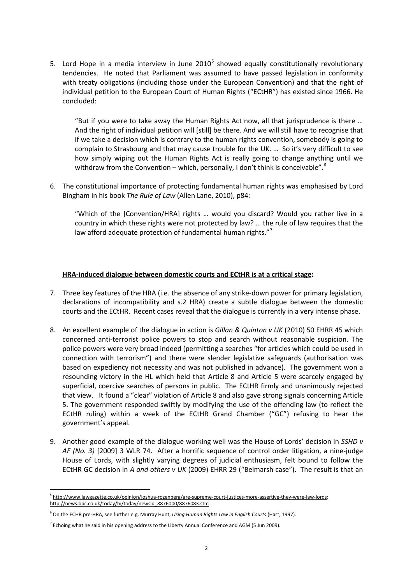[5](#page-1-0). Lord Hope in a media interview in June 2010<sup>5</sup> showed equally constitutionally revolutionary tendencies. He noted that Parliament was assumed to have passed legislation in conformity with treaty obligations (including those under the European Convention) and that the right of individual petition to the European Court of Human Rights ("ECtHR") has existed since 1966. He concluded:

"But if you were to take away the Human Rights Act now, all that jurisprudence is there … And the right of individual petition will [still] be there. And we will still have to recognise that if we take a decision which is contrary to the human rights convention, somebody is going to complain to Strasbourg and that may cause trouble for the UK. … So it's very difficult to see how simply wiping out the Human Rights Act is really going to change anything until we withdraw from the Convention – which, personally, I don't think is conceivable".<sup>[6](#page-1-1)</sup>

6. The constitutional importance of protecting fundamental human rights was emphasised by Lord Bingham in his book *The Rule of Law* (Allen Lane, 2010), p84:

"Which of the [Convention/HRA] rights … would you discard? Would you rather live in a country in which these rights were not protected by law? … the rule of law requires that the law afford adequate protection of fundamental human rights."<sup>[7](#page-1-2)</sup>

#### **HRA-induced dialogue between domestic courts and ECtHR is at a critical stage:**

- 7. Three key features of the HRA (i.e. the absence of any strike-down power for primary legislation, declarations of incompatibility and s.2 HRA) create a subtle dialogue between the domestic courts and the ECtHR. Recent cases reveal that the dialogue is currently in a very intense phase.
- 8. An excellent example of the dialogue in action is *Gillan & Quinton v UK* (2010) 50 EHRR 45 which concerned anti-terrorist police powers to stop and search without reasonable suspicion. The police powers were very broad indeed (permitting a searches "for articles which could be used in connection with terrorism") and there were slender legislative safeguards (authorisation was based on expediency not necessity and was not published in advance). The government won a resounding victory in the HL which held that Article 8 and Article 5 were scarcely engaged by superficial, coercive searches of persons in public. The ECtHR firmly and unanimously rejected that view. It found a "clear" violation of Article 8 and also gave strong signals concerning Article 5. The government responded swiftly by modifying the use of the offending law (to reflect the ECtHR ruling) within a week of the ECtHR Grand Chamber ("GC") refusing to hear the government's appeal.
- 9. Another good example of the dialogue working well was the House of Lords' decision in *SSHD v AF (No. 3)* [2009] 3 WLR 74. After a horrific sequence of control order litigation, a nine-judge House of Lords, with slightly varying degrees of judicial enthusiasm, felt bound to follow the ECtHR GC decision in *A and others v UK* (2009) EHRR 29 ("Belmarsh case"). The result is that an

<span id="page-1-0"></span><sup>&</sup>lt;sup>5</sup> http://www.lawgazette.co.uk/opinion/joshua-rozenberg/are-supreme-court-justices-more-assertive-they-were-law-lords; [http://news.bbc.co.uk/today/hi/today/newsid\\_8876000/8876083.stm](http://news.bbc.co.uk/today/hi/today/newsid_8876000/8876083.stm) 

<span id="page-1-1"></span><sup>6</sup> On the ECHR pre-HRA, see further e.g. Murray Hunt, *Using Human Rights Law in English Courts* (Hart, 1997).

<span id="page-1-2"></span> $7$  Echoing what he said in his opening address to the Liberty Annual Conference and AGM (5 Jun 2009).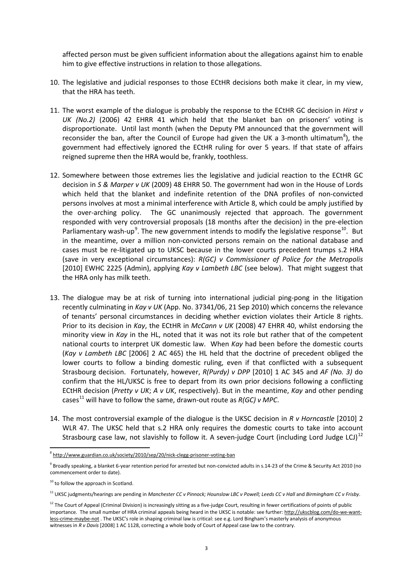affected person must be given sufficient information about the allegations against him to enable him to give effective instructions in relation to those allegations.

- 10. The legislative and judicial responses to those ECtHR decisions both make it clear, in my view, that the HRA has teeth.
- 11. The worst example of the dialogue is probably the response to the ECtHR GC decision in *Hirst v UK (No.2)* (2006) 42 EHRR 41 which held that the blanket ban on prisoners' voting is disproportionate. Until last month (when the Deputy PM announced that the government will reconsider the ban, after the Council of Europe had given the UK a 3-month ultimatum<sup>[8](#page-2-0)</sup>), the government had effectively ignored the ECtHR ruling for over 5 years. If that state of affairs reigned supreme then the HRA would be, frankly, toothless.
- 12. Somewhere between those extremes lies the legislative and judicial reaction to the ECtHR GC decision in *S & Marper v UK* (2009) 48 EHRR 50. The government had won in the House of Lords which held that the blanket and indefinite retention of the DNA profiles of non-convicted persons involves at most a minimal interference with Article 8, which could be amply justified by the over-arching policy. The GC unanimously rejected that approach. The government responded with very controversial proposals (18 months after the decision) in the pre-election Parliamentary wash-up<sup>[9](#page-2-1)</sup>. The new government intends to modify the legislative response<sup>[10](#page-2-2)</sup>. But in the meantime, over a million non-convicted persons remain on the national database and cases must be re-litigated up to UKSC because in the lower courts precedent trumps s.2 HRA (save in very exceptional circumstances): *R(GC) v Commissioner of Police for the Metropolis* [2010] EWHC 2225 (Admin), applying *Kay v Lambeth LBC* (see below). That might suggest that the HRA only has milk teeth.
- 13. The dialogue may be at risk of turning into international judicial ping-pong in the litigation recently culminating in *Kay v UK* (App. No. 37341/06, 21 Sep 2010) which concerns the relevance of tenants' personal circumstances in deciding whether eviction violates their Article 8 rights. Prior to its decision in *Kay*, the ECtHR in *McCann v UK* (2008) 47 EHRR 40, whilst endorsing the minority view in *Kay* in the HL, noted that it was not its role but rather that of the competent national courts to interpret UK domestic law. When *Kay* had been before the domestic courts (*Kay v Lambeth LBC* [2006] 2 AC 465) the HL held that the doctrine of precedent obliged the lower courts to follow a binding domestic ruling, even if that conflicted with a subsequent Strasbourg decision. Fortunately, however, *R(Purdy) v DPP* [2010] 1 AC 345 and *AF (No. 3)* do confirm that the HL/UKSC is free to depart from its own prior decisions following a conflicting ECtHR decision (*Pretty v UK*; *A v UK*, respectively). But in the meantime, *Kay* and other pending cases<sup>[11](#page-2-3)</sup> will have to follow the same, drawn-out route as  $R(GC)$  v MPC.
- 14. The most controversial example of the dialogue is the UKSC decision in *R v Horncastle* [2010] 2 WLR 47. The UKSC held that s.2 HRA only requires the domestic courts to take into account Strasbourg case law, not slavishly to follow it. A seven-judge Court (including Lord Judge LCJ)<sup>[12](#page-2-4)</sup>

<span id="page-2-0"></span> <sup>8</sup> <http://www.guardian.co.uk/society/2010/sep/20/nick-clegg-prisoner-voting-ban>

<span id="page-2-1"></span><sup>&</sup>lt;sup>9</sup> Broadly speaking, a blanket 6-year retention period for arrested but non-convicted adults in s.14-23 of the Crime & Security Act 2010 (no commencement order to date).

<span id="page-2-2"></span> $10$  to follow the approach in Scotland.

<span id="page-2-3"></span><sup>11</sup> UKSC judgments/hearings are pending in *Manchester CC v Pinnock; Hounslow LBC v Powell; Leeds CC v Hall* and *Birmingham CC v Frisby*.

<span id="page-2-4"></span> $12$  The Court of Appeal (Criminal Division) is increasingly sitting as a five-judge Court, resulting in fewer certifications of points of public importance. The small number of HRA criminal appeals being heard in the UKSC is notable: see further[: http://ukscblog.com/do-we-want](http://ukscblog.com/do-we-want-less-crime-maybe-not)[less-crime-maybe-not](http://ukscblog.com/do-we-want-less-crime-maybe-not) . The UKSC's role in shaping criminal law is critical: see e.g. Lord Bingham's masterly analysis of anonymous witnesses in *R v Davis* [2008] 1 AC 1128, correcting a whole body of Court of Appeal case law to the contrary.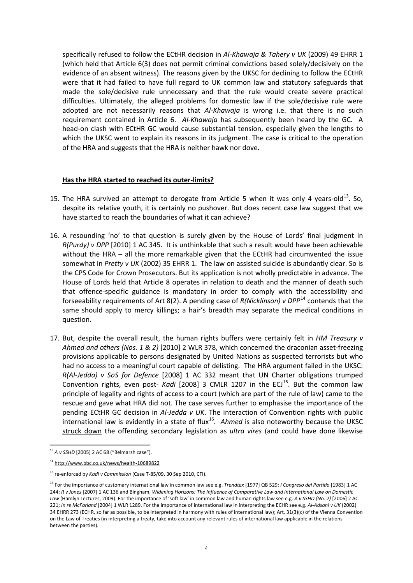specifically refused to follow the ECtHR decision in *Al-Khawaja & Tahery v UK* (2009) 49 EHRR 1 (which held that Article 6(3) does not permit criminal convictions based solely/decisively on the evidence of an absent witness). The reasons given by the UKSC for declining to follow the ECtHR were that it had failed to have full regard to UK common law and statutory safeguards that made the sole/decisive rule unnecessary and that the rule would create severe practical difficulties. Ultimately, the alleged problems for domestic law if the sole/decisive rule were adopted are not necessarily reasons that *Al-Khawaja* is wrong i.e. that there is no such requirement contained in Article 6. *Al-Khawaja* has subsequently been heard by the GC. A head-on clash with ECtHR GC would cause substantial tension, especially given the lengths to which the UKSC went to explain its reasons in its judgment. The case is critical to the operation of the HRA and suggests that the HRA is neither hawk nor dove**.**

#### **Has the HRA started to reached its outer-limits?**

- 15. The HRA survived an attempt to derogate from Article 5 when it was only 4 vears-old<sup>13</sup>. So. despite its relative youth, it is certainly no pushover. But does recent case law suggest that we have started to reach the boundaries of what it can achieve?
- 16. A resounding 'no' to that question is surely given by the House of Lords' final judgment in *R(Purdy) v DPP* [2010] 1 AC 345. It is unthinkable that such a result would have been achievable without the HRA – all the more remarkable given that the ECtHR had circumvented the issue somewhat in *Pretty v UK* (2002) 35 EHRR 1. The law on assisted suicide is abundantly clear. So is the CPS Code for Crown Prosecutors. But its application is not wholly predictable in advance. The House of Lords held that Article 8 operates in relation to death and the manner of death such that offence-specific guidance is mandatory in order to comply with the accessibility and forseeability requirements of Art 8(2). A pending case of *R(Nicklinson) v DPP*[14](#page-3-1) contends that the same should apply to mercy killings; a hair's breadth may separate the medical conditions in question.
- 17. But, despite the overall result, the human rights buffers were certainly felt in *HM Treasury v Ahmed and others (Nos. 1 & 2)* [2010] 2 WLR 378, which concerned the draconian asset-freezing provisions applicable to persons designated by United Nations as suspected terrorists but who had no access to a meaningful court capable of delisting. The HRA argument failed in the UKSC: *R(Al-Jedda) v SoS for Defence* [2008] 1 AC 332 meant that UN Charter obligations trumped Convention rights, even post- *Kadi* [2008] 3 CMLR 1207 in the ECJ<sup>[15](#page-3-2)</sup>. But the common law principle of legality and rights of access to a court (which are part of the rule of law) came to the rescue and gave what HRA did not. The case serves further to emphasise the importance of the pending ECtHR GC decision in *Al-Jedda v UK*. The interaction of Convention rights with public international law is evidently in a state of flux<sup>[16](#page-3-3)</sup>. Ahmed is also noteworthy because the UKSC struck down the offending secondary legislation as *ultra vires* (and could have done likewise

<span id="page-3-0"></span> <sup>13</sup> *A v SSHD* [2005] 2 AC 68 ("Belmarsh case").

<span id="page-3-1"></span><sup>14</sup> <http://www.bbc.co.uk/news/health-10689822>

<span id="page-3-2"></span><sup>15</sup> re-enforced by *Kadi v Commission* (Case T-85/09, 30 Sep 2010, CFI).

<span id="page-3-3"></span><sup>16</sup> For the importance of customary international law in common law see e.g. *Trendtex* [1977] QB 529; *I Congreso del Partido* [1983] 1 AC 244; *R v Jones* [2007] 1 AC 136 and Bingham, *Widening Horizons: The Influence of Comparative Law and International Law on Domestic Law* (Hamlyn Lectures, 2009). For the importance of 'soft law' in common law and human rights law see e.g. *A v SSHD (No. 2)* [2006] 2 AC 221; *In re McFarland* [2004] 1 WLR 1289. For the importance of international law in interpreting the ECHR see e.g. *Al-Adsani v UK* (2002) 34 EHRR 273 (ECHR, so far as possible, to be interpreted in harmony with rules of international law); Art. 31(3)(c) of the Vienna Convention on the Law of Treaties (in interpreting a treaty, take into account any relevant rules of international law applicable in the relations between the parties).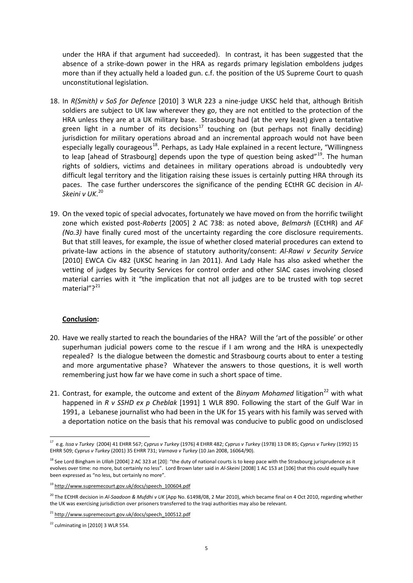under the HRA if that argument had succeeded). In contrast, it has been suggested that the absence of a strike-down power in the HRA as regards primary legislation emboldens judges more than if they actually held a loaded gun. c.f. the position of the US Supreme Court to quash unconstitutional legislation.

- 18. In *R(Smith) v SoS for Defence* [2010] 3 WLR 223 a nine-judge UKSC held that, although British soldiers are subject to UK law wherever they go, they are not entitled to the protection of the HRA unless they are at a UK military base. Strasbourg had (at the very least) given a tentative green light in a number of its decisions<sup>[17](#page-4-0)</sup> touching on (but perhaps not finally deciding) jurisdiction for military operations abroad and an incremental approach would not have been especially legally courageous<sup>[18](#page-4-1)</sup>. Perhaps, as Lady Hale explained in a recent lecture, "Willingness to leap [ahead of Strasbourg] depends upon the type of question being asked"<sup>19</sup>. The human rights of soldiers, victims and detainees in military operations abroad is undoubtedly very difficult legal territory and the litigation raising these issues is certainly putting HRA through its paces. The case further underscores the significance of the pending ECtHR GC decision in *Al-Skeini v UK*. [20](#page-4-3)
- 19. On the vexed topic of special advocates, fortunately we have moved on from the horrific twilight zone which existed post-*Roberts* [2005] 2 AC 738: as noted above, *Belmarsh* (ECtHR) and *AF (No.3)* have finally cured most of the uncertainty regarding the core disclosure requirements. But that still leaves, for example, the issue of whether closed material procedures can extend to private-law actions in the absence of statutory authority/consent: *Al-Rawi v Security Service* [2010] EWCA Civ 482 (UKSC hearing in Jan 2011). And Lady Hale has also asked whether the vetting of judges by Security Services for control order and other SIAC cases involving closed material carries with it "the implication that not all judges are to be trusted with top secret material"?<sup>21</sup>

#### **Conclusion:**

- 20. Have we really started to reach the boundaries of the HRA? Will the 'art of the possible' or other superhuman judicial powers come to the rescue if I am wrong and the HRA is unexpectedly repealed? Is the dialogue between the domestic and Strasbourg courts about to enter a testing and more argumentative phase? Whatever the answers to those questions, it is well worth remembering just how far we have come in such a short space of time.
- 21. Contrast, for example, the outcome and extent of the *Binyam Mohamed* litigation<sup>[22](#page-4-5)</sup> with what happened in *R v SSHD ex p Cheblak* [1991] 1 WLR 890. Following the start of the Gulf War in 1991, a Lebanese journalist who had been in the UK for 15 years with his family was served with a deportation notice on the basis that his removal was conducive to public good on undisclosed

<span id="page-4-0"></span> <sup>17</sup> e.g. *Issa v Turkey* (2004) 41 EHRR 567; *Cyprus v Turkey* (1976) 4 EHRR 482; *Cyprus v Turkey* (1978) 13 DR 85; *Cyprus v Turkey* (1992) 15 EHRR 509; *Cyprus v Turkey* (2001) 35 EHRR 731; *Varnava v Turkey* (10 Jan 2008, 16064/90).

<span id="page-4-1"></span><sup>&</sup>lt;sup>18</sup> See Lord Bingham in *Ullah* [2004] 2 AC 323 at [20]: "the duty of national courts is to keep pace with the Strasbourg jurisprudence as it evolves over time: no more, but certainly no less". Lord Brown later said in *Al-Skeini* [2008] 1 AC 153 at [106] that this could equally have been expressed as "no less, but certainly no more".

<span id="page-4-2"></span><sup>&</sup>lt;sup>19</sup> [http://www.supremecourt.gov.uk/docs/speech\\_100604.pdf](http://www.supremecourt.gov.uk/docs/speech_100604.pdf)

<span id="page-4-3"></span><sup>20</sup> The ECtHR decision in *Al-Saadoon & Mufdhi v UK* (App No. 61498/08, 2 Mar 2010), which became final on 4 Oct 2010, regarding whether the UK was exercising jurisdiction over prisoners transferred to the Iraqi authorities may also be relevant.

<span id="page-4-4"></span><sup>&</sup>lt;sup>21</sup> [http://www.supremecourt.gov.uk/docs/speech\\_100512.pdf](http://www.supremecourt.gov.uk/docs/speech_100512.pdf)

<span id="page-4-5"></span> $22$  culminating in [2010] 3 WLR 554.